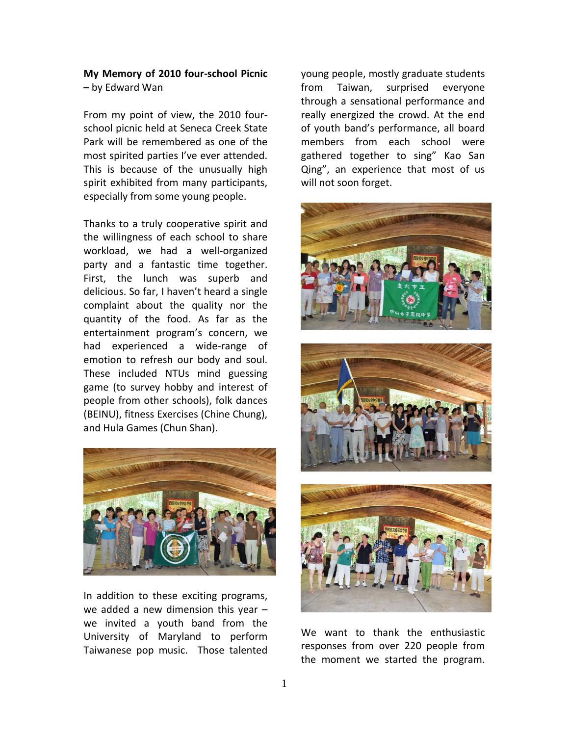## **My Memory of 2010 four‐school Picnic –** by Edward Wan

From my point of view, the 2010 four‐ school picnic held at Seneca Creek State Park will be remembered as one of the most spirited parties I've ever attended. This is because of the unusually high spirit exhibited from many participants, especially from some young people.

Thanks to a truly cooperative spirit and the willingness of each school to share workload, we had a well-organized party and a fantastic time together. First, the lunch was superb and delicious. So far, I haven't heard a single complaint about the quality nor the quantity of the food. As far as the entertainment program's concern, we had experienced a wide‐range of emotion to refresh our body and soul. These included NTUs mind guessing game (to survey hobby and interest of people from other schools), folk dances (BEINU), fitness Exercises (Chine Chung), and Hula Games (Chun Shan).



In addition to these exciting programs, we added a new dimension this year – we invited a youth band from the University of Maryland to perform Taiwanese pop music. Those talented young people, mostly graduate students from Taiwan, surprised everyone through a sensational performance and really energized the crowd. At the end of youth band's performance, all board members from each school were gathered together to sing" Kao San Qing", an experience that most of us will not soon forget.





We want to thank the enthusiastic responses from over 220 people from the moment we started the program.